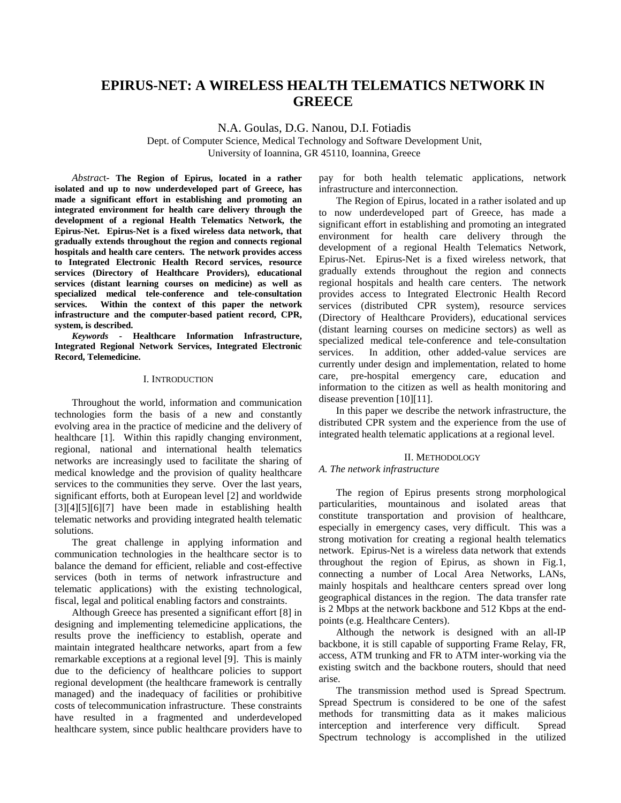# **EPIRUS-NET: A WIRELESS HEALTH TELEMATICS NETWORK IN GREECE**

N.A. Goulas, D.G. Nanou, D.I. Fotiadis

Dept. of Computer Science, Medical Technology and Software Development Unit, University of Ioannina, GR 45110, Ioannina, Greece

*Abstrac*t- **The Region of Epirus, located in a rather isolated and up to now underdeveloped part of Greece, has made a significant effort in establishing and promoting an integrated environment for health care delivery through the development of a regional Health Telematics Network, the Epirus-Net. Epirus-Net is a fixed wireless data network, that gradually extends throughout the region and connects regional hospitals and health care centers. The network provides access to Integrated Electronic Health Record services, resource services (Directory of Healthcare Providers), educational services (distant learning courses on medicine) as well as specialized medical tele-conference and tele-consultation services. Within the context of this paper the network infrastructure and the computer-based patient record, CPR, system, is described.** 

*Keywords -* **Healthcare Information Infrastructure, Integrated Regional Network Services, Integrated Electronic Record, Telemedicine.** 

# I. INTRODUCTION

Throughout the world, information and communication technologies form the basis of a new and constantly evolving area in the practice of medicine and the delivery of healthcare [1]. Within this rapidly changing environment, regional, national and international health telematics networks are increasingly used to facilitate the sharing of medical knowledge and the provision of quality healthcare services to the communities they serve. Over the last years, significant efforts, both at European level [2] and worldwide [3][4][5][6][7] have been made in establishing health telematic networks and providing integrated health telematic solutions.

The great challenge in applying information and communication technologies in the healthcare sector is to balance the demand for efficient, reliable and cost-effective services (both in terms of network infrastructure and telematic applications) with the existing technological, fiscal, legal and political enabling factors and constraints.

Although Greece has presented a significant effort [8] in designing and implementing telemedicine applications, the results prove the inefficiency to establish, operate and maintain integrated healthcare networks, apart from a few remarkable exceptions at a regional level [9]. This is mainly due to the deficiency of healthcare policies to support regional development (the healthcare framework is centrally managed) and the inadequacy of facilities or prohibitive costs of telecommunication infrastructure. These constraints have resulted in a fragmented and underdeveloped healthcare system, since public healthcare providers have to

pay for both health telematic applications, network infrastructure and interconnection.

The Region of Epirus, located in a rather isolated and up to now underdeveloped part of Greece, has made a significant effort in establishing and promoting an integrated environment for health care delivery through the development of a regional Health Telematics Network, Epirus-Net. Epirus-Net is a fixed wireless network, that gradually extends throughout the region and connects regional hospitals and health care centers. The network provides access to Integrated Electronic Health Record services (distributed CPR system), resource services (Directory of Healthcare Providers), educational services (distant learning courses on medicine sectors) as well as specialized medical tele-conference and tele-consultation services. In addition, other added-value services are currently under design and implementation, related to home care, pre-hospital emergency care, education and information to the citizen as well as health monitoring and disease prevention [10][11].

In this paper we describe the network infrastructure, the distributed CPR system and the experience from the use of integrated health telematic applications at a regional level.

#### II. METHODOLOGY

# *A. The network infrastructure*

The region of Epirus presents strong morphological particularities, mountainous and isolated areas that constitute transportation and provision of healthcare, especially in emergency cases, very difficult. This was a strong motivation for creating a regional health telematics network. Epirus-Net is a wireless data network that extends throughout the region of Epirus, as shown in Fig.1, connecting a number of Local Area Networks, LANs, mainly hospitals and healthcare centers spread over long geographical distances in the region. The data transfer rate is 2 Mbps at the network backbone and 512 Kbps at the endpoints (e.g. Healthcare Centers).

Although the network is designed with an all-IP backbone, it is still capable of supporting Frame Relay, FR, access, ATM trunking and FR to ATM inter-working via the existing switch and the backbone routers, should that need arise.

The transmission method used is Spread Spectrum. Spread Spectrum is considered to be one of the safest methods for transmitting data as it makes malicious interception and interference very difficult. Spread Spectrum technology is accomplished in the utilized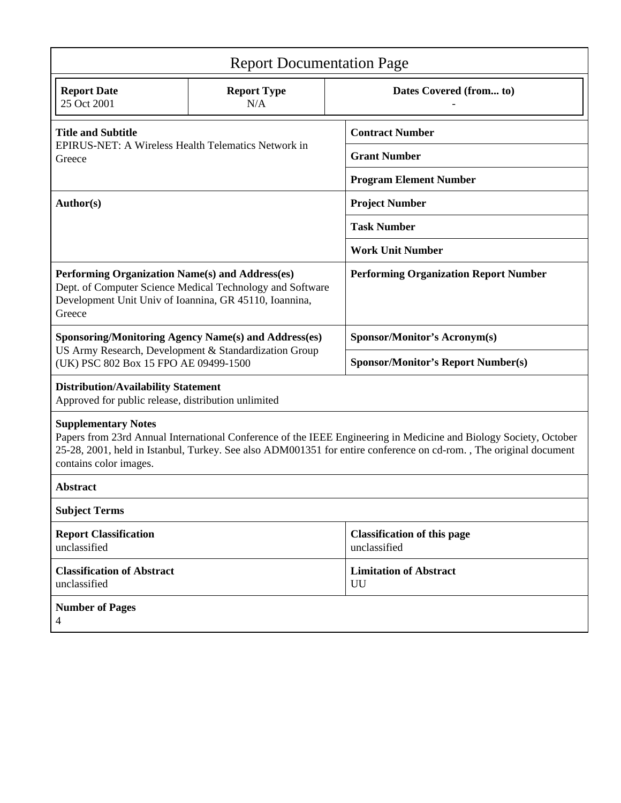| <b>Report Documentation Page</b>                                                                                                                                                                                                                                                               |                           |                                                    |
|------------------------------------------------------------------------------------------------------------------------------------------------------------------------------------------------------------------------------------------------------------------------------------------------|---------------------------|----------------------------------------------------|
| <b>Report Date</b><br>25 Oct 2001                                                                                                                                                                                                                                                              | <b>Report Type</b><br>N/A | Dates Covered (from to)                            |
| <b>Title and Subtitle</b><br>EPIRUS-NET: A Wireless Health Telematics Network in<br>Greece                                                                                                                                                                                                     |                           | <b>Contract Number</b>                             |
|                                                                                                                                                                                                                                                                                                |                           | <b>Grant Number</b>                                |
|                                                                                                                                                                                                                                                                                                |                           | <b>Program Element Number</b>                      |
| Author(s)                                                                                                                                                                                                                                                                                      |                           | <b>Project Number</b>                              |
|                                                                                                                                                                                                                                                                                                |                           | <b>Task Number</b>                                 |
|                                                                                                                                                                                                                                                                                                |                           | <b>Work Unit Number</b>                            |
| Performing Organization Name(s) and Address(es)<br>Dept. of Computer Science Medical Technology and Software<br>Development Unit Univ of Ioannina, GR 45110, Ioannina,<br>Greece                                                                                                               |                           | <b>Performing Organization Report Number</b>       |
| <b>Sponsoring/Monitoring Agency Name(s) and Address(es)</b><br>US Army Research, Development & Standardization Group<br>(UK) PSC 802 Box 15 FPO AE 09499-1500                                                                                                                                  |                           | Sponsor/Monitor's Acronym(s)                       |
|                                                                                                                                                                                                                                                                                                |                           | <b>Sponsor/Monitor's Report Number(s)</b>          |
| <b>Distribution/Availability Statement</b><br>Approved for public release, distribution unlimited                                                                                                                                                                                              |                           |                                                    |
| <b>Supplementary Notes</b><br>Papers from 23rd Annual International Conference of the IEEE Engineering in Medicine and Biology Society, October<br>25-28, 2001, held in Istanbul, Turkey. See also ADM001351 for entire conference on cd-rom., The original document<br>contains color images. |                           |                                                    |
| <b>Abstract</b>                                                                                                                                                                                                                                                                                |                           |                                                    |
| <b>Subject Terms</b>                                                                                                                                                                                                                                                                           |                           |                                                    |
| <b>Report Classification</b><br>unclassified                                                                                                                                                                                                                                                   |                           | <b>Classification of this page</b><br>unclassified |
| <b>Classification of Abstract</b><br>unclassified                                                                                                                                                                                                                                              |                           | <b>Limitation of Abstract</b><br>UU                |
| <b>Number of Pages</b><br>4                                                                                                                                                                                                                                                                    |                           |                                                    |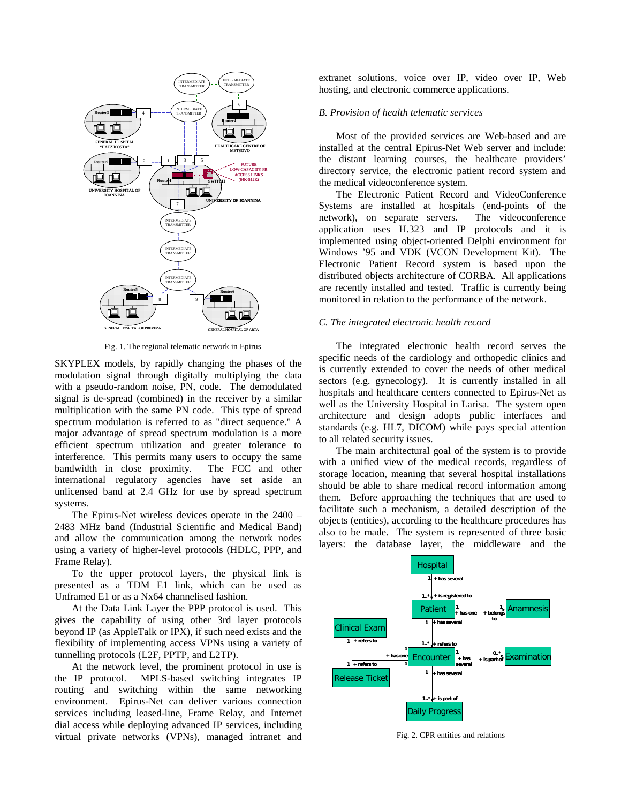

Fig. 1. The regional telematic network in Epirus

SKYPLEX models, by rapidly changing the phases of the modulation signal through digitally multiplying the data with a pseudo-random noise, PN, code. The demodulated signal is de-spread (combined) in the receiver by a similar multiplication with the same PN code. This type of spread spectrum modulation is referred to as "direct sequence." A major advantage of spread spectrum modulation is a more efficient spectrum utilization and greater tolerance to interference. This permits many users to occupy the same bandwidth in close proximity. The FCC and other international regulatory agencies have set aside an unlicensed band at 2.4 GHz for use by spread spectrum systems.

The Epirus-Net wireless devices operate in the 2400 – 2483 MHz band (Industrial Scientific and Medical Band) and allow the communication among the network nodes using a variety of higher-level protocols (HDLC, PPP, and Frame Relay).

To the upper protocol layers, the physical link is presented as a TDM E1 link, which can be used as Unframed E1 or as a Nx64 channelised fashion.

At the Data Link Layer the PPP protocol is used. This gives the capability of using other 3rd layer protocols beyond IP (as AppleTalk or IPX), if such need exists and the flexibility of implementing access VPNs using a variety of tunnelling protocols (L2F, PPTP, and L2TP).

At the network level, the prominent protocol in use is the IP protocol. MPLS-based switching integrates IP routing and switching within the same networking environment. Epirus-Net can deliver various connection services including leased-line, Frame Relay, and Internet dial access while deploying advanced IP services, including virtual private networks (VPNs), managed intranet and extranet solutions, voice over IP, video over IP, Web hosting, and electronic commerce applications.

# *B. Provision of health telematic services*

Most of the provided services are Web-based and are installed at the central Epirus-Net Web server and include: the distant learning courses, the healthcare providers' directory service, the electronic patient record system and the medical videoconference system.

The Electronic Patient Record and VideoConference Systems are installed at hospitals (end-points of the network), on separate servers. The videoconference application uses H.323 and IP protocols and it is implemented using object-oriented Delphi environment for Windows '95 and VDK (VCON Development Kit). The Electronic Patient Record system is based upon the distributed objects architecture of CORBA. All applications are recently installed and tested. Traffic is currently being monitored in relation to the performance of the network.

#### *C. The integrated electronic health record*

The integrated electronic health record serves the specific needs of the cardiology and orthopedic clinics and is currently extended to cover the needs of other medical sectors (e.g. gynecology). It is currently installed in all hospitals and healthcare centers connected to Epirus-Net as well as the University Hospital in Larisa. The system open architecture and design adopts public interfaces and standards (e.g. HL7, DICOM) while pays special attention to all related security issues.

The main architectural goal of the system is to provide with a unified view of the medical records, regardless of storage location, meaning that several hospital installations should be able to share medical record information among them. Before approaching the techniques that are used to facilitate such a mechanism, a detailed description of the objects (entities), according to the healthcare procedures has also to be made. The system is represented of three basic layers: the database layer, the middleware and the



Fig. 2. CPR entities and relations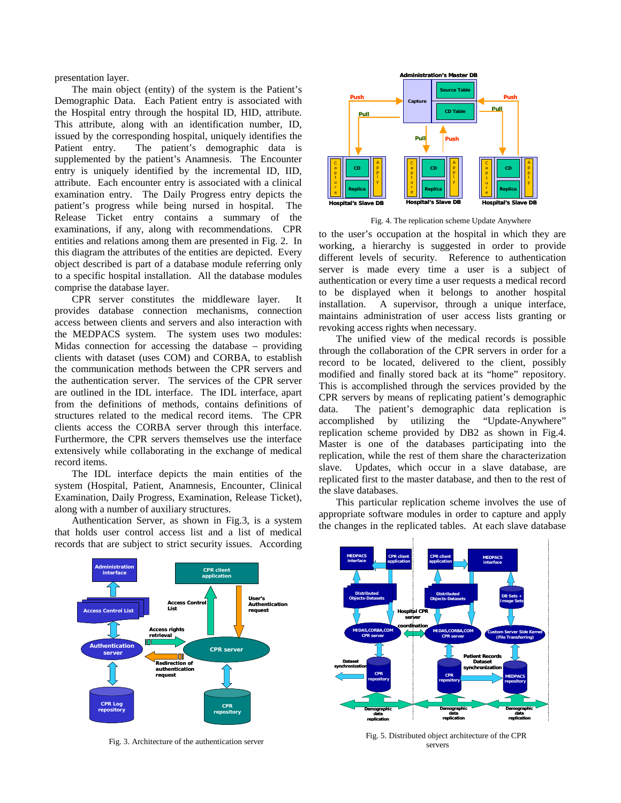presentation layer.

The main object (entity) of the system is the Patient's Demographic Data. Each Patient entry is associated with the Hospital entry through the hospital ID, HID, attribute. This attribute, along with an identification number, ID, issued by the corresponding hospital, uniquely identifies the Patient entry. The patient's demographic data is supplemented by the patient's Anamnesis. The Encounter entry is uniquely identified by the incremental ID, IID, attribute. Each encounter entry is associated with a clinical examination entry. The Daily Progress entry depicts the patient's progress while being nursed in hospital. The Release Ticket entry contains a summary of the examinations, if any, along with recommendations. CPR entities and relations among them are presented in Fig. 2. In this diagram the attributes of the entities are depicted. Every object described is part of a database module referring only to a specific hospital installation. All the database modules comprise the database layer.

CPR server constitutes the middleware layer. It provides database connection mechanisms, connection access between clients and servers and also interaction with the MEDPACS system. The system uses two modules: Midas connection for accessing the database – providing clients with dataset (uses COM) and CORBA, to establish the communication methods between the CPR servers and the authentication server. The services of the CPR server are outlined in the IDL interface. The IDL interface, apart from the definitions of methods, contains definitions of structures related to the medical record items. The CPR clients access the CORBA server through this interface. Furthermore, the CPR servers themselves use the interface extensively while collaborating in the exchange of medical record items.

The IDL interface depicts the main entities of the system (Hospital, Patient, Anamnesis, Encounter, Clinical Examination, Daily Progress, Examination, Release Ticket), along with a number of auxiliary structures.

Authentication Server, as shown in Fig.3, is a system that holds user control access list and a list of medical records that are subject to strict security issues. According



Fig. 4. The replication scheme Update Anywhere

to the user's occupation at the hospital in which they are working, a hierarchy is suggested in order to provide different levels of security. Reference to authentication server is made every time a user is a subject of authentication or every time a user requests a medical record to be displayed when it belongs to another hospital installation. A supervisor, through a unique interface, maintains administration of user access lists granting or revoking access rights when necessary.

The unified view of the medical records is possible through the collaboration of the CPR servers in order for a record to be located, delivered to the client, possibly modified and finally stored back at its "home" repository. This is accomplished through the services provided by the CPR servers by means of replicating patient's demographic data. The patient's demographic data replication is accomplished by utilizing the "Update-Anywhere" replication scheme provided by DB2 as shown in Fig.4. Master is one of the databases participating into the replication, while the rest of them share the characterization slave. Updates, which occur in a slave database, are replicated first to the master database, and then to the rest of the slave databases.

This particular replication scheme involves the use of appropriate software modules in order to capture and apply the changes in the replicated tables. At each slave database



Fig. 3. Architecture of the authentication server



Fig. 5. Distributed object architecture of the CPR servers